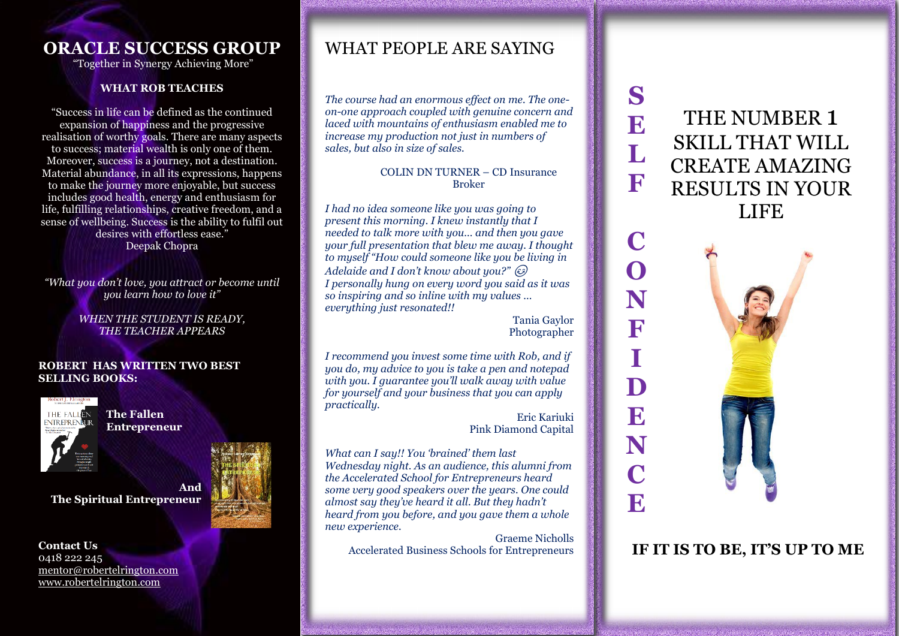# **ORACLE SUCCESS GROUP**

"Together in Synergy Achieving More"

### **WHAT ROB TEACHES**

"Success in life can be defined as the continued expansion of happiness and the progressive realisation of worthy goals. There are many aspects to success; material wealth is only one of them. Moreover, success is a journey, not a destination. Material abundance, in all its expressions, happens to make the journey more enjoyable, but success includes good health, energy and enthusiasm for life, fulfilling relationships, creative freedom, and a sense of wellbeing. Success is the ability to fulfil out desires with effortless ease." Deepak Chopra

*"What you don't love, you attract or become until you learn how to love it"*

> *WHEN THE STUDENT IS READY, THE TEACHER APPEARS*

#### **ROBERT HAS WRITTEN TWO BEST SELLING BOOKS:**



**The Fallen Entrepreneur**

**And The Spiritual Entrepreneur**



## WHAT PEOPLE ARE SAYING

*The course had an enormous effect on me. The oneon-one approach coupled with genuine concern and laced with mountains of enthusiasm enabled me to increase my production not just in numbers of sales, but also in size of sales.*

### COLIN DN TURNER – CD Insurance Broker

*I had no idea someone like you was going to present this morning. I knew instantly that I needed to talk more with you… and then you gave your full presentation that blew me away. I thought to myself "How could someone like you be living in Adelaide and I don't know about you?" I personally hung on every word you said as it was so inspiring and so inline with my values … everything just resonated!!*

> Tania Gaylor Photographer

*I recommend you invest some time with Rob, and if you do, my advice to you is take a pen and notepad with you. I guarantee you'll walk away with value for yourself and your business that you can apply practically.* 

Eric Kariuki Pink Diamond Capital

*What can I say!! You 'brained' them last Wednesday night. As an audience, this alumni from the Accelerated School for Entrepreneurs heard some very good speakers over the years. One could almost say they've heard it all. But they hadn't heard from you before, and you gave them a whole new experience.*

Graeme Nicholls<br>Accelerated Business Schools for Entrepreneurs

THE NUMBER 1 SKILL THAT WILL CREATE AMAZING RESULTS IN YOUR LIFE

**S**

**E**

**L**

**F**

**I**



Accelerated Business Schools for Entrepreneurs **IF IT IS TO BE, IT'S UP TO ME**